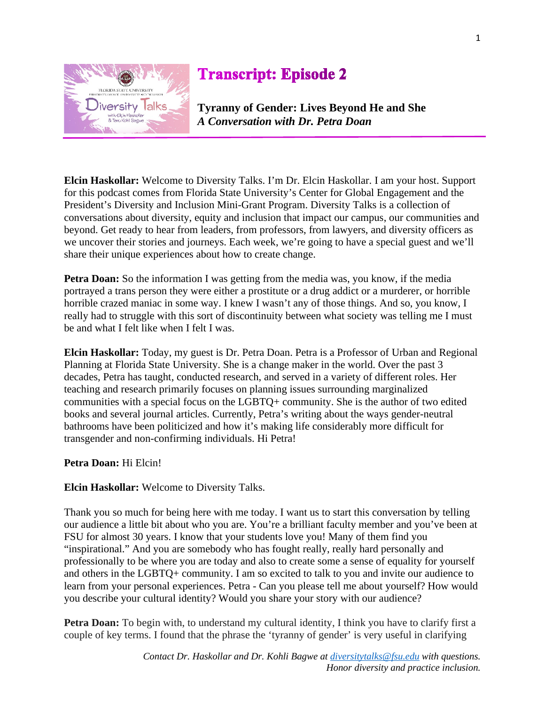

## **Transcript: Episode 2**

**Tyranny of Gender: Lives Beyond He and She** *A Conversation with Dr. Petra Doan*

**Elcin Haskollar:** Welcome to Diversity Talks. I'm Dr. Elcin Haskollar. I am your host. Support for this podcast comes from Florida State University's Center for Global Engagement and the President's Diversity and Inclusion Mini-Grant Program. Diversity Talks is a collection of conversations about diversity, equity and inclusion that impact our campus, our communities and beyond. Get ready to hear from leaders, from professors, from lawyers, and diversity officers as we uncover their stories and journeys. Each week, we're going to have a special guest and we'll share their unique experiences about how to create change.

**Petra Doan:** So the information I was getting from the media was, you know, if the media portrayed a trans person they were either a prostitute or a drug addict or a murderer, or horrible horrible crazed maniac in some way. I knew I wasn't any of those things. And so, you know, I really had to struggle with this sort of discontinuity between what society was telling me I must be and what I felt like when I felt I was.

**Elcin Haskollar:** Today, my guest is Dr. Petra Doan. Petra is a Professor of Urban and Regional Planning at Florida State University. She is a change maker in the world. Over the past 3 decades, Petra has taught, conducted research, and served in a variety of different roles. Her teaching and research primarily focuses on planning issues surrounding marginalized communities with a special focus on the LGBTQ+ community. She is the author of two edited books and several journal articles. Currently, Petra's writing about the ways gender-neutral bathrooms have been politicized and how it's making life considerably more difficult for transgender and non-confirming individuals. Hi Petra!

## **Petra Doan:** Hi Elcin!

## **Elcin Haskollar:** Welcome to Diversity Talks.

Thank you so much for being here with me today. I want us to start this conversation by telling our audience a little bit about who you are. You're a brilliant faculty member and you've been at FSU for almost 30 years. I know that your students love you! Many of them find you "inspirational." And you are somebody who has fought really, really hard personally and professionally to be where you are today and also to create some a sense of equality for yourself and others in the LGBTQ+ community. I am so excited to talk to you and invite our audience to learn from your personal experiences. Petra - Can you please tell me about yourself? How would you describe your cultural identity? Would you share your story with our audience?

**Petra Doan:** To begin with, to understand my cultural identity, I think you have to clarify first a couple of key terms. I found that the phrase the 'tyranny of gender' is very useful in clarifying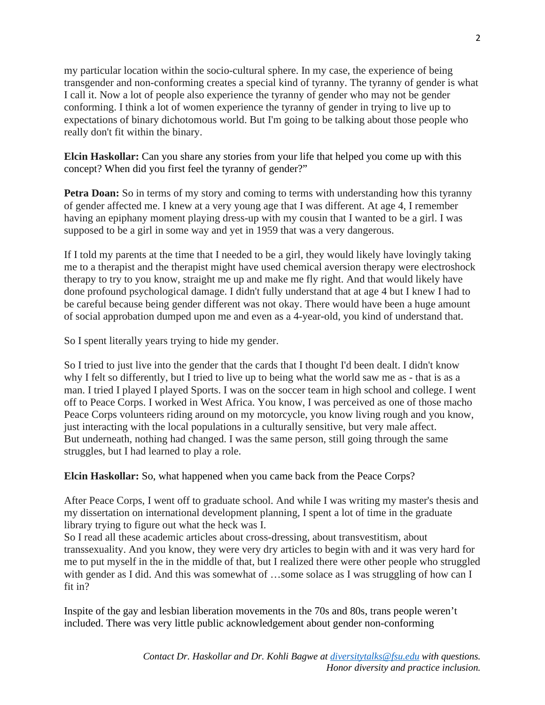my particular location within the socio-cultural sphere. In my case, the experience of being transgender and non-conforming creates a special kind of tyranny. The tyranny of gender is what I call it. Now a lot of people also experience the tyranny of gender who may not be gender conforming. I think a lot of women experience the tyranny of gender in trying to live up to expectations of binary dichotomous world. But I'm going to be talking about those people who really don't fit within the binary.

**Elcin Haskollar:** Can you share any stories from your life that helped you come up with this concept? When did you first feel the tyranny of gender?"

**Petra Doan:** So in terms of my story and coming to terms with understanding how this tyranny of gender affected me. I knew at a very young age that I was different. At age 4, I remember having an epiphany moment playing dress-up with my cousin that I wanted to be a girl. I was supposed to be a girl in some way and yet in 1959 that was a very dangerous.

If I told my parents at the time that I needed to be a girl, they would likely have lovingly taking me to a therapist and the therapist might have used chemical aversion therapy were electroshock therapy to try to you know, straight me up and make me fly right. And that would likely have done profound psychological damage. I didn't fully understand that at age 4 but I knew I had to be careful because being gender different was not okay. There would have been a huge amount of social approbation dumped upon me and even as a 4-year-old, you kind of understand that.

So I spent literally years trying to hide my gender.

So I tried to just live into the gender that the cards that I thought I'd been dealt. I didn't know why I felt so differently, but I tried to live up to being what the world saw me as - that is as a man. I tried I played I played Sports. I was on the soccer team in high school and college. I went off to Peace Corps. I worked in West Africa. You know, I was perceived as one of those macho Peace Corps volunteers riding around on my motorcycle, you know living rough and you know, just interacting with the local populations in a culturally sensitive, but very male affect. But underneath, nothing had changed. I was the same person, still going through the same struggles, but I had learned to play a role.

**Elcin Haskollar:** So, what happened when you came back from the Peace Corps?

After Peace Corps, I went off to graduate school. And while I was writing my master's thesis and my dissertation on international development planning, I spent a lot of time in the graduate library trying to figure out what the heck was I.

So I read all these academic articles about cross-dressing, about transvestitism, about transsexuality. And you know, they were very dry articles to begin with and it was very hard for me to put myself in the in the middle of that, but I realized there were other people who struggled with gender as I did. And this was somewhat of ...some solace as I was struggling of how can I fit in?

Inspite of the gay and lesbian liberation movements in the 70s and 80s, trans people weren't included. There was very little public acknowledgement about gender non-conforming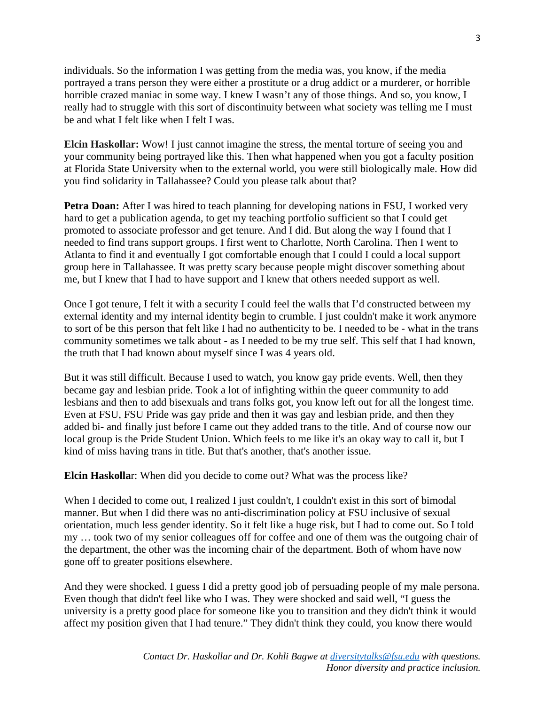individuals. So the information I was getting from the media was, you know, if the media portrayed a trans person they were either a prostitute or a drug addict or a murderer, or horrible horrible crazed maniac in some way. I knew I wasn't any of those things. And so, you know, I really had to struggle with this sort of discontinuity between what society was telling me I must be and what I felt like when I felt I was.

**Elcin Haskollar:** Wow! I just cannot imagine the stress, the mental torture of seeing you and your community being portrayed like this. Then what happened when you got a faculty position at Florida State University when to the external world, you were still biologically male. How did you find solidarity in Tallahassee? Could you please talk about that?

**Petra Doan:** After I was hired to teach planning for developing nations in FSU, I worked very hard to get a publication agenda, to get my teaching portfolio sufficient so that I could get promoted to associate professor and get tenure. And I did. But along the way I found that I needed to find trans support groups. I first went to Charlotte, North Carolina. Then I went to Atlanta to find it and eventually I got comfortable enough that I could I could a local support group here in Tallahassee. It was pretty scary because people might discover something about me, but I knew that I had to have support and I knew that others needed support as well.

Once I got tenure, I felt it with a security I could feel the walls that I'd constructed between my external identity and my internal identity begin to crumble. I just couldn't make it work anymore to sort of be this person that felt like I had no authenticity to be. I needed to be - what in the trans community sometimes we talk about - as I needed to be my true self. This self that I had known, the truth that I had known about myself since I was 4 years old.

But it was still difficult. Because I used to watch, you know gay pride events. Well, then they became gay and lesbian pride. Took a lot of infighting within the queer community to add lesbians and then to add bisexuals and trans folks got, you know left out for all the longest time. Even at FSU, FSU Pride was gay pride and then it was gay and lesbian pride, and then they added bi- and finally just before I came out they added trans to the title. And of course now our local group is the Pride Student Union. Which feels to me like it's an okay way to call it, but I kind of miss having trans in title. But that's another, that's another issue.

**Elcin Haskolla**r: When did you decide to come out? What was the process like?

When I decided to come out, I realized I just couldn't, I couldn't exist in this sort of bimodal manner. But when I did there was no anti-discrimination policy at FSU inclusive of sexual orientation, much less gender identity. So it felt like a huge risk, but I had to come out. So I told my … took two of my senior colleagues off for coffee and one of them was the outgoing chair of the department, the other was the incoming chair of the department. Both of whom have now gone off to greater positions elsewhere.

And they were shocked. I guess I did a pretty good job of persuading people of my male persona. Even though that didn't feel like who I was. They were shocked and said well, "I guess the university is a pretty good place for someone like you to transition and they didn't think it would affect my position given that I had tenure." They didn't think they could, you know there would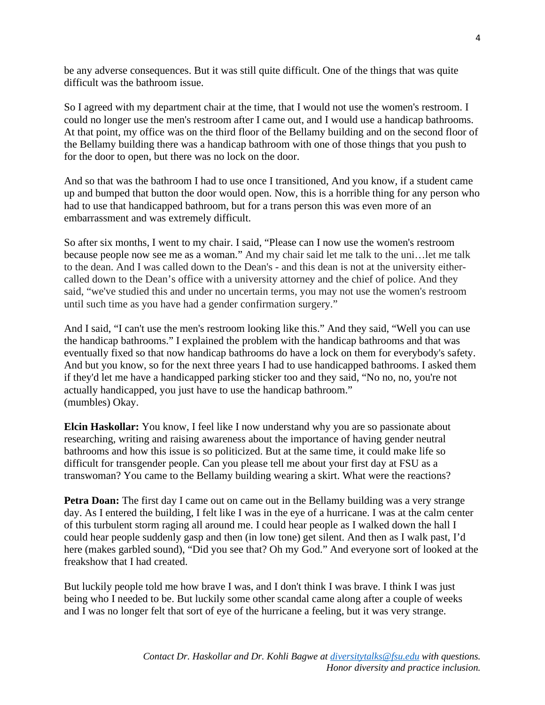be any adverse consequences. But it was still quite difficult. One of the things that was quite difficult was the bathroom issue.

So I agreed with my department chair at the time, that I would not use the women's restroom. I could no longer use the men's restroom after I came out, and I would use a handicap bathrooms. At that point, my office was on the third floor of the Bellamy building and on the second floor of the Bellamy building there was a handicap bathroom with one of those things that you push to for the door to open, but there was no lock on the door.

And so that was the bathroom I had to use once I transitioned, And you know, if a student came up and bumped that button the door would open. Now, this is a horrible thing for any person who had to use that handicapped bathroom, but for a trans person this was even more of an embarrassment and was extremely difficult.

So after six months, I went to my chair. I said, "Please can I now use the women's restroom because people now see me as a woman." And my chair said let me talk to the uni…let me talk to the dean. And I was called down to the Dean's - and this dean is not at the university eithercalled down to the Dean's office with a university attorney and the chief of police. And they said, "we've studied this and under no uncertain terms, you may not use the women's restroom until such time as you have had a gender confirmation surgery."

And I said, "I can't use the men's restroom looking like this." And they said, "Well you can use the handicap bathrooms." I explained the problem with the handicap bathrooms and that was eventually fixed so that now handicap bathrooms do have a lock on them for everybody's safety. And but you know, so for the next three years I had to use handicapped bathrooms. I asked them if they'd let me have a handicapped parking sticker too and they said, "No no, no, you're not actually handicapped, you just have to use the handicap bathroom." (mumbles) Okay.

**Elcin Haskollar:** You know, I feel like I now understand why you are so passionate about researching, writing and raising awareness about the importance of having gender neutral bathrooms and how this issue is so politicized. But at the same time, it could make life so difficult for transgender people. Can you please tell me about your first day at FSU as a transwoman? You came to the Bellamy building wearing a skirt. What were the reactions?

**Petra Doan:** The first day I came out on came out in the Bellamy building was a very strange day. As I entered the building, I felt like I was in the eye of a hurricane. I was at the calm center of this turbulent storm raging all around me. I could hear people as I walked down the hall I could hear people suddenly gasp and then (in low tone) get silent. And then as I walk past, I'd here (makes garbled sound), "Did you see that? Oh my God." And everyone sort of looked at the freakshow that I had created.

But luckily people told me how brave I was, and I don't think I was brave. I think I was just being who I needed to be. But luckily some other scandal came along after a couple of weeks and I was no longer felt that sort of eye of the hurricane a feeling, but it was very strange.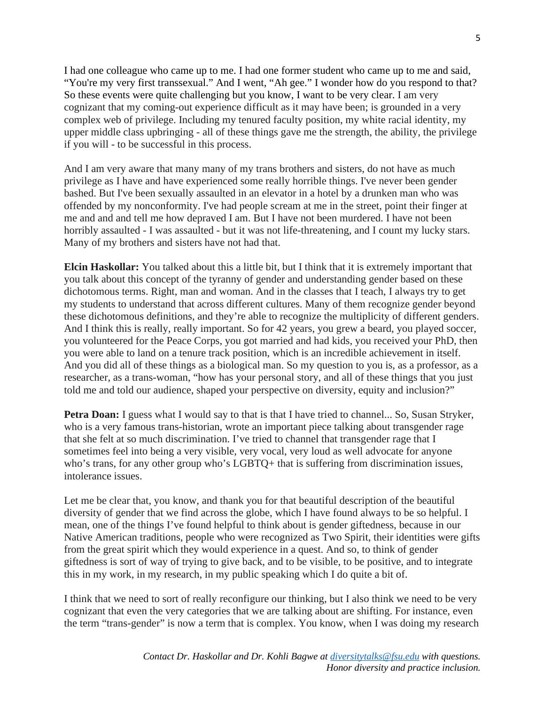I had one colleague who came up to me. I had one former student who came up to me and said, "You're my very first transsexual." And I went, "Ah gee." I wonder how do you respond to that? So these events were quite challenging but you know, I want to be very clear. I am very cognizant that my coming-out experience difficult as it may have been; is grounded in a very complex web of privilege. Including my tenured faculty position, my white racial identity, my upper middle class upbringing - all of these things gave me the strength, the ability, the privilege if you will - to be successful in this process.

And I am very aware that many many of my trans brothers and sisters, do not have as much privilege as I have and have experienced some really horrible things. I've never been gender bashed. But I've been sexually assaulted in an elevator in a hotel by a drunken man who was offended by my nonconformity. I've had people scream at me in the street, point their finger at me and and and tell me how depraved I am. But I have not been murdered. I have not been horribly assaulted - I was assaulted - but it was not life-threatening, and I count my lucky stars. Many of my brothers and sisters have not had that.

**Elcin Haskollar:** You talked about this a little bit, but I think that it is extremely important that you talk about this concept of the tyranny of gender and understanding gender based on these dichotomous terms. Right, man and woman. And in the classes that I teach, I always try to get my students to understand that across different cultures. Many of them recognize gender beyond these dichotomous definitions, and they're able to recognize the multiplicity of different genders. And I think this is really, really important. So for 42 years, you grew a beard, you played soccer, you volunteered for the Peace Corps, you got married and had kids, you received your PhD, then you were able to land on a tenure track position, which is an incredible achievement in itself. And you did all of these things as a biological man. So my question to you is, as a professor, as a researcher, as a trans-woman, "how has your personal story, and all of these things that you just told me and told our audience, shaped your perspective on diversity, equity and inclusion?"

**Petra Doan:** I guess what I would say to that is that I have tried to channel... So, Susan Stryker, who is a very famous trans-historian, wrote an important piece talking about transgender rage that she felt at so much discrimination. I've tried to channel that transgender rage that I sometimes feel into being a very visible, very vocal, very loud as well advocate for anyone who's trans, for any other group who's LGBTQ+ that is suffering from discrimination issues, intolerance issues.

Let me be clear that, you know, and thank you for that beautiful description of the beautiful diversity of gender that we find across the globe, which I have found always to be so helpful. I mean, one of the things I've found helpful to think about is gender giftedness, because in our Native American traditions, people who were recognized as Two Spirit, their identities were gifts from the great spirit which they would experience in a quest. And so, to think of gender giftedness is sort of way of trying to give back, and to be visible, to be positive, and to integrate this in my work, in my research, in my public speaking which I do quite a bit of.

I think that we need to sort of really reconfigure our thinking, but I also think we need to be very cognizant that even the very categories that we are talking about are shifting. For instance, even the term "trans-gender" is now a term that is complex. You know, when I was doing my research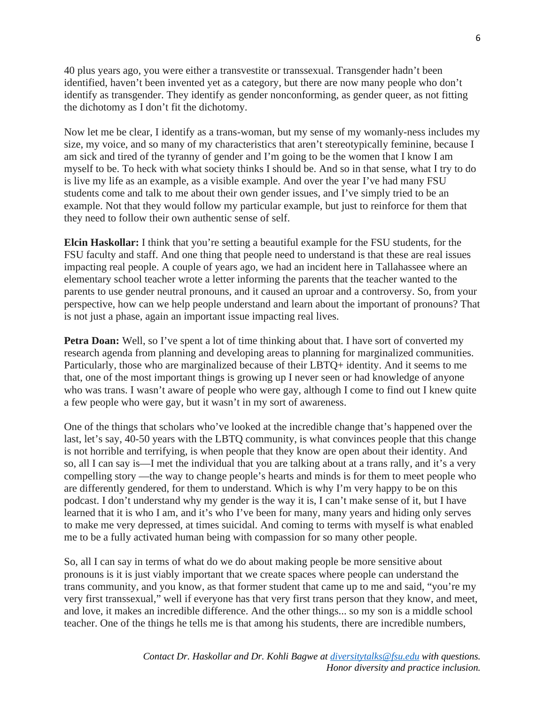40 plus years ago, you were either a transvestite or transsexual. Transgender hadn't been identified, haven't been invented yet as a category, but there are now many people who don't identify as transgender. They identify as gender nonconforming, as gender queer, as not fitting the dichotomy as I don't fit the dichotomy.

Now let me be clear, I identify as a trans-woman, but my sense of my womanly-ness includes my size, my voice, and so many of my characteristics that aren't stereotypically feminine, because I am sick and tired of the tyranny of gender and I'm going to be the women that I know I am myself to be. To heck with what society thinks I should be. And so in that sense, what I try to do is live my life as an example, as a visible example. And over the year I've had many FSU students come and talk to me about their own gender issues, and I've simply tried to be an example. Not that they would follow my particular example, but just to reinforce for them that they need to follow their own authentic sense of self.

**Elcin Haskollar:** I think that you're setting a beautiful example for the FSU students, for the FSU faculty and staff. And one thing that people need to understand is that these are real issues impacting real people. A couple of years ago, we had an incident here in Tallahassee where an elementary school teacher wrote a letter informing the parents that the teacher wanted to the parents to use gender neutral pronouns, and it caused an uproar and a controversy. So, from your perspective, how can we help people understand and learn about the important of pronouns? That is not just a phase, again an important issue impacting real lives.

**Petra Doan:** Well, so I've spent a lot of time thinking about that. I have sort of converted my research agenda from planning and developing areas to planning for marginalized communities. Particularly, those who are marginalized because of their LBTQ+ identity. And it seems to me that, one of the most important things is growing up I never seen or had knowledge of anyone who was trans. I wasn't aware of people who were gay, although I come to find out I knew quite a few people who were gay, but it wasn't in my sort of awareness.

One of the things that scholars who've looked at the incredible change that's happened over the last, let's say, 40-50 years with the LBTQ community, is what convinces people that this change is not horrible and terrifying, is when people that they know are open about their identity. And so, all I can say is—I met the individual that you are talking about at a trans rally, and it's a very compelling story —the way to change people's hearts and minds is for them to meet people who are differently gendered, for them to understand. Which is why I'm very happy to be on this podcast. I don't understand why my gender is the way it is, I can't make sense of it, but I have learned that it is who I am, and it's who I've been for many, many years and hiding only serves to make me very depressed, at times suicidal. And coming to terms with myself is what enabled me to be a fully activated human being with compassion for so many other people.

So, all I can say in terms of what do we do about making people be more sensitive about pronouns is it is just viably important that we create spaces where people can understand the trans community, and you know, as that former student that came up to me and said, "you're my very first transsexual," well if everyone has that very first trans person that they know, and meet, and love, it makes an incredible difference. And the other things... so my son is a middle school teacher. One of the things he tells me is that among his students, there are incredible numbers,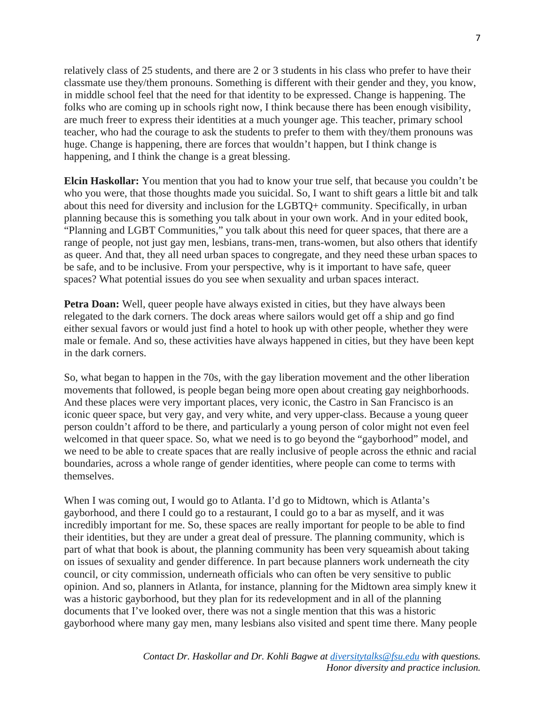relatively class of 25 students, and there are 2 or 3 students in his class who prefer to have their classmate use they/them pronouns. Something is different with their gender and they, you know, in middle school feel that the need for that identity to be expressed. Change is happening. The folks who are coming up in schools right now, I think because there has been enough visibility, are much freer to express their identities at a much younger age. This teacher, primary school teacher, who had the courage to ask the students to prefer to them with they/them pronouns was huge. Change is happening, there are forces that wouldn't happen, but I think change is happening, and I think the change is a great blessing.

**Elcin Haskollar:** You mention that you had to know your true self, that because you couldn't be who you were, that those thoughts made you suicidal. So, I want to shift gears a little bit and talk about this need for diversity and inclusion for the LGBTQ+ community. Specifically, in urban planning because this is something you talk about in your own work. And in your edited book, "Planning and LGBT Communities," you talk about this need for queer spaces, that there are a range of people, not just gay men, lesbians, trans-men, trans-women, but also others that identify as queer. And that, they all need urban spaces to congregate, and they need these urban spaces to be safe, and to be inclusive. From your perspective, why is it important to have safe, queer spaces? What potential issues do you see when sexuality and urban spaces interact.

**Petra Doan:** Well, queer people have always existed in cities, but they have always been relegated to the dark corners. The dock areas where sailors would get off a ship and go find either sexual favors or would just find a hotel to hook up with other people, whether they were male or female. And so, these activities have always happened in cities, but they have been kept in the dark corners.

So, what began to happen in the 70s, with the gay liberation movement and the other liberation movements that followed, is people began being more open about creating gay neighborhoods. And these places were very important places, very iconic, the Castro in San Francisco is an iconic queer space, but very gay, and very white, and very upper-class. Because a young queer person couldn't afford to be there, and particularly a young person of color might not even feel welcomed in that queer space. So, what we need is to go beyond the "gayborhood" model, and we need to be able to create spaces that are really inclusive of people across the ethnic and racial boundaries, across a whole range of gender identities, where people can come to terms with themselves.

When I was coming out, I would go to Atlanta. I'd go to Midtown, which is Atlanta's gayborhood, and there I could go to a restaurant, I could go to a bar as myself, and it was incredibly important for me. So, these spaces are really important for people to be able to find their identities, but they are under a great deal of pressure. The planning community, which is part of what that book is about, the planning community has been very squeamish about taking on issues of sexuality and gender difference. In part because planners work underneath the city council, or city commission, underneath officials who can often be very sensitive to public opinion. And so, planners in Atlanta, for instance, planning for the Midtown area simply knew it was a historic gayborhood, but they plan for its redevelopment and in all of the planning documents that I've looked over, there was not a single mention that this was a historic gayborhood where many gay men, many lesbians also visited and spent time there. Many people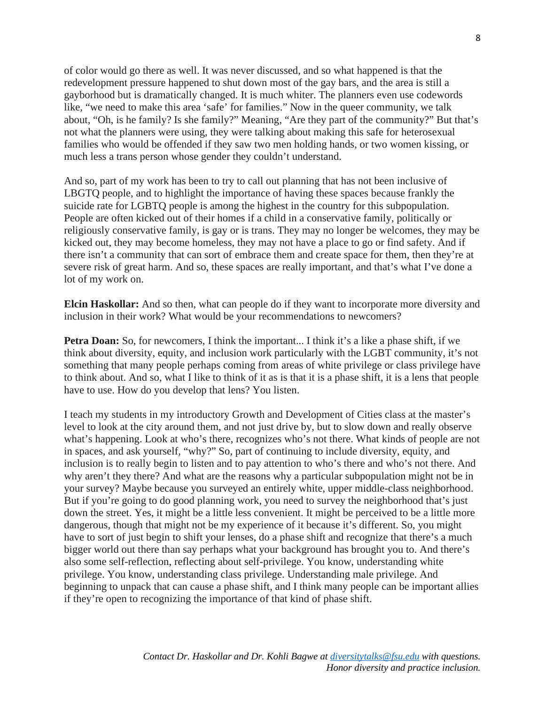of color would go there as well. It was never discussed, and so what happened is that the redevelopment pressure happened to shut down most of the gay bars, and the area is still a gayborhood but is dramatically changed. It is much whiter. The planners even use codewords like, "we need to make this area 'safe' for families." Now in the queer community, we talk about, "Oh, is he family? Is she family?" Meaning, "Are they part of the community?" But that's not what the planners were using, they were talking about making this safe for heterosexual families who would be offended if they saw two men holding hands, or two women kissing, or much less a trans person whose gender they couldn't understand.

And so, part of my work has been to try to call out planning that has not been inclusive of LBGTQ people, and to highlight the importance of having these spaces because frankly the suicide rate for LGBTQ people is among the highest in the country for this subpopulation. People are often kicked out of their homes if a child in a conservative family, politically or religiously conservative family, is gay or is trans. They may no longer be welcomes, they may be kicked out, they may become homeless, they may not have a place to go or find safety. And if there isn't a community that can sort of embrace them and create space for them, then they're at severe risk of great harm. And so, these spaces are really important, and that's what I've done a lot of my work on.

**Elcin Haskollar:** And so then, what can people do if they want to incorporate more diversity and inclusion in their work? What would be your recommendations to newcomers?

**Petra Doan:** So, for new comers, I think the important... I think it's a like a phase shift, if we think about diversity, equity, and inclusion work particularly with the LGBT community, it's not something that many people perhaps coming from areas of white privilege or class privilege have to think about. And so, what I like to think of it as is that it is a phase shift, it is a lens that people have to use. How do you develop that lens? You listen.

I teach my students in my introductory Growth and Development of Cities class at the master's level to look at the city around them, and not just drive by, but to slow down and really observe what's happening. Look at who's there, recognizes who's not there. What kinds of people are not in spaces, and ask yourself, "why?" So, part of continuing to include diversity, equity, and inclusion is to really begin to listen and to pay attention to who's there and who's not there. And why aren't they there? And what are the reasons why a particular subpopulation might not be in your survey? Maybe because you surveyed an entirely white, upper middle-class neighborhood. But if you're going to do good planning work, you need to survey the neighborhood that's just down the street. Yes, it might be a little less convenient. It might be perceived to be a little more dangerous, though that might not be my experience of it because it's different. So, you might have to sort of just begin to shift your lenses, do a phase shift and recognize that there's a much bigger world out there than say perhaps what your background has brought you to. And there's also some self-reflection, reflecting about self-privilege. You know, understanding white privilege. You know, understanding class privilege. Understanding male privilege. And beginning to unpack that can cause a phase shift, and I think many people can be important allies if they're open to recognizing the importance of that kind of phase shift.